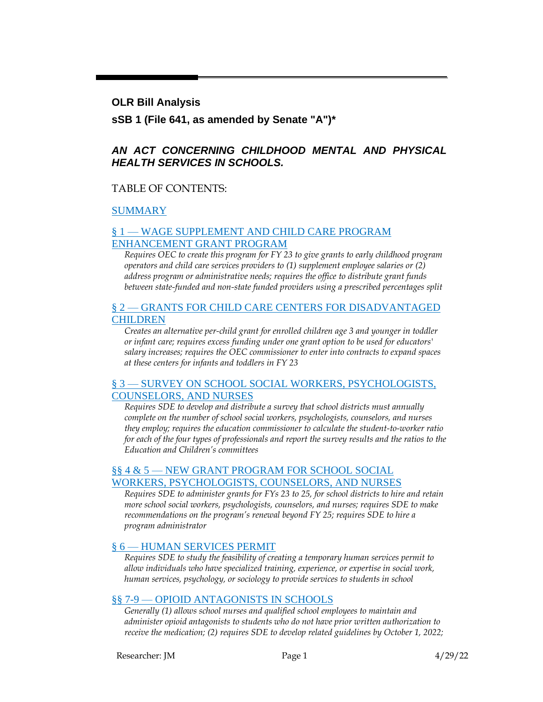**OLR Bill Analysis**

**sSB 1 (File 641, as amended by Senate "A")\***

### *AN ACT CONCERNING CHILDHOOD MENTAL AND PHYSICAL HEALTH SERVICES IN SCHOOLS.*

### TABLE OF CONTENTS:

### [SUMMARY](#page-2-0)

### § 1 — [WAGE SUPPLEMENT AND CHILD CARE PROGRAM](#page-3-0)  [ENHANCEMENT GRANT PROGRAM](#page-3-0)

*Requires OEC to create this program for FY 23 to give grants to early childhood program operators and child care services providers to (1) supplement employee salaries or (2) address program or administrative needs; requires the office to distribute grant funds between state-funded and non-state funded providers using a prescribed percentages split*

### § 2 — [GRANTS FOR CHILD CARE CENTERS FOR DISADVANTAGED](#page-5-0)  [CHILDREN](#page-5-0)

*Creates an alternative per-child grant for enrolled children age 3 and younger in toddler or infant care; requires excess funding under one grant option to be used for educators' salary increases; requires the OEC commissioner to enter into contracts to expand spaces at these centers for infants and toddlers in FY 23*

### § 3 — [SURVEY ON SCHOOL SOCIAL WORKERS, PSYCHOLOGISTS,](#page-6-0)  [COUNSELORS, AND NURSES](#page-6-0)

*Requires SDE to develop and distribute a survey that school districts must annually complete on the number of school social workers, psychologists, counselors, and nurses they employ; requires the education commissioner to calculate the student-to-worker ratio for each of the four types of professionals and report the survey results and the ratios to the Education and Children's committees*

### §§ 4 & 5 — [NEW GRANT PROGRAM FOR SCHOOL SOCIAL](#page-7-0)  [WORKERS, PSYCHOLOGISTS, COUNSELORS, AND NURSES](#page-7-0)

*Requires SDE to administer grants for FYs 23 to 25, for school districts to hire and retain more school social workers, psychologists, counselors, and nurses; requires SDE to make recommendations on the program's renewal beyond FY 25; requires SDE to hire a program administrator*

### § 6 — [HUMAN SERVICES PERMIT](#page-9-0)

*Requires SDE to study the feasibility of creating a temporary human services permit to allow individuals who have specialized training, experience, or expertise in social work, human services, psychology, or sociology to provide services to students in school*

### §§ 7-9 — [OPIOID ANTAGONISTS IN SCHOOLS](#page-10-0)

*Generally (1) allows school nurses and qualified school employees to maintain and administer opioid antagonists to students who do not have prior written authorization to receive the medication; (2) requires SDE to develop related guidelines by October 1, 2022;*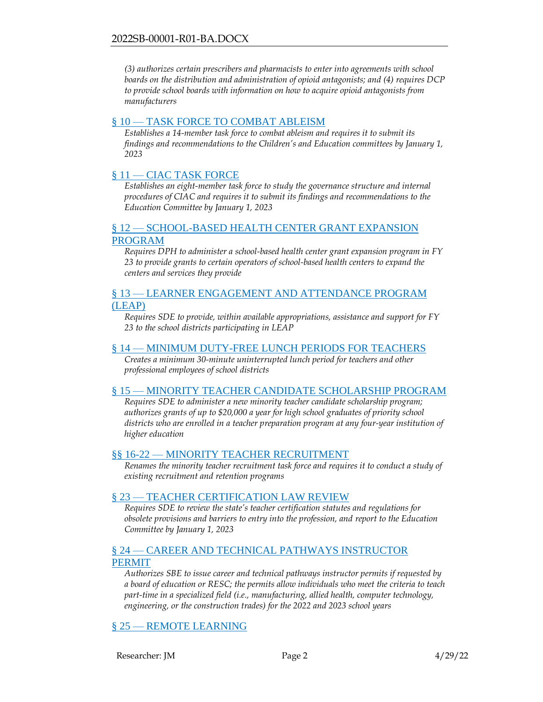*(3) authorizes certain prescribers and pharmacists to enter into agreements with school boards on the distribution and administration of opioid antagonists; and (4) requires DCP to provide school boards with information on how to acquire opioid antagonists from manufacturers*

#### § 10 — [TASK FORCE TO COMBAT ABLEISM](#page-13-0)

*Establishes a 14-member task force to combat ableism and requires it to submit its findings and recommendations to the Children's and Education committees by January 1, 2023*

#### § 11 - [CIAC TASK FORCE](#page-14-0)

*Establishes an eight-member task force to study the governance structure and internal procedures of CIAC and requires it to submit its findings and recommendations to the Education Committee by January 1, 2023*

### § 12 — [SCHOOL-BASED HEALTH CENTER GRANT EXPANSION](#page-16-0)  [PROGRAM](#page-16-0)

*Requires DPH to administer a school-based health center grant expansion program in FY 23 to provide grants to certain operators of school-based health centers to expand the centers and services they provide*

### § 13 — LEARNER ENGAGEMENT AND ATTENDANCE PROGRAM [\(LEAP\)](#page-16-1)

*Requires SDE to provide, within available appropriations, assistance and support for FY 23 to the school districts participating in LEAP*

#### § 14 — [MINIMUM DUTY-FREE LUNCH PERIODS FOR TEACHERS](#page-16-2)

*Creates a minimum 30-minute uninterrupted lunch period for teachers and other professional employees of school districts*

### § 15 — [MINORITY TEACHER CANDIDATE SCHOLARSHIP PROGRAM](#page-17-0)

*Requires SDE to administer a new minority teacher candidate scholarship program; authorizes grants of up to \$20,000 a year for high school graduates of priority school districts who are enrolled in a teacher preparation program at any four-year institution of higher education*

#### §§ 16-22 — [MINORITY TEACHER RECRUITMENT](#page-18-0)

Renames the minority teacher recruitment task force and requires it to conduct a study of *existing recruitment and retention programs*

#### § 23 — [TEACHER CERTIFICATION LAW REVIEW](#page-19-0)

*Requires SDE to review the state's teacher certification statutes and regulations for obsolete provisions and barriers to entry into the profession, and report to the Education Committee by January 1, 2023*

#### § 24 — CAREER AND TECHNICAL PATHWAYS INSTRUCTOR [PERMIT](#page-20-0)

*Authorizes SBE to issue career and technical pathways instructor permits if requested by a board of education or RESC; the permits allow individuals who meet the criteria to teach part-time in a specialized field (i.e., manufacturing, allied health, computer technology, engineering, or the construction trades) for the 2022 and 2023 school years*

### § 25 — [REMOTE LEARNING](#page-21-0)

Researcher: JM Page 2 4/29/22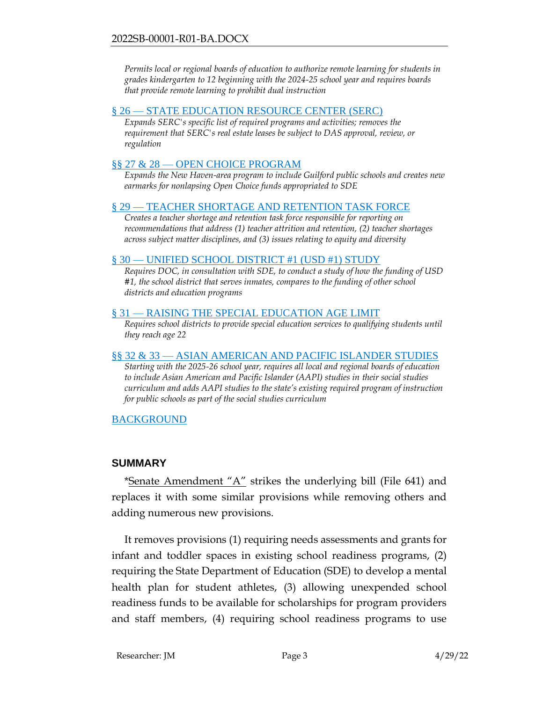*Permits local or regional boards of education to authorize remote learning for students in grades kindergarten to 12 beginning with the 2024-25 school year and requires boards that provide remote learning to prohibit dual instruction*

#### § 26 — [STATE EDUCATION RESOURCE CENTER \(SERC\)](#page-22-0)

*Expands SERC's specific list of required programs and activities; removes the requirement that SERC's real estate leases be subject to DAS approval, review, or regulation*

#### §§ 27 & 28 — [OPEN CHOICE PROGRAM](#page-23-0)

*Expands the New Haven-area program to include Guilford public schools and creates new earmarks for nonlapsing Open Choice funds appropriated to SDE*

#### § 29 — [TEACHER SHORTAGE AND RETENTION TASK FORCE](#page-24-0)

*Creates a teacher shortage and retention task force responsible for reporting on recommendations that address (1) teacher attrition and retention, (2) teacher shortages across subject matter disciplines, and (3) issues relating to equity and diversity*

#### § 30 — [UNIFIED SCHOOL DISTRICT #1 \(USD #1\) STUDY](#page-27-0)

*Requires DOC, in consultation with SDE, to conduct a study of how the funding of USD #1, the school district that serves inmates, compares to the funding of other school districts and education programs*

#### § 31 — [RAISING THE SPECIAL EDUCATION AGE LIMIT](#page-27-1)

*Requires school districts to provide special education services to qualifying students until they reach age 22*

#### §§ 32 & 33 — [ASIAN AMERICAN AND PACIFIC ISLANDER STUDIES](#page-27-2)

*Starting with the 2025-26 school year, requires all local and regional boards of education to include Asian American and Pacific Islander (AAPI) studies in their social studies curriculum and adds AAPI studies to the state's existing required program of instruction for public schools as part of the social studies curriculum*

### [BACKGROUND](#page-28-0)

### <span id="page-2-0"></span>**SUMMARY**

\*Senate Amendment "A" strikes the underlying bill (File 641) and replaces it with some similar provisions while removing others and adding numerous new provisions.

It removes provisions (1) requiring needs assessments and grants for infant and toddler spaces in existing school readiness programs, (2) requiring the State Department of Education (SDE) to develop a mental health plan for student athletes, (3) allowing unexpended school readiness funds to be available for scholarships for program providers and staff members, (4) requiring school readiness programs to use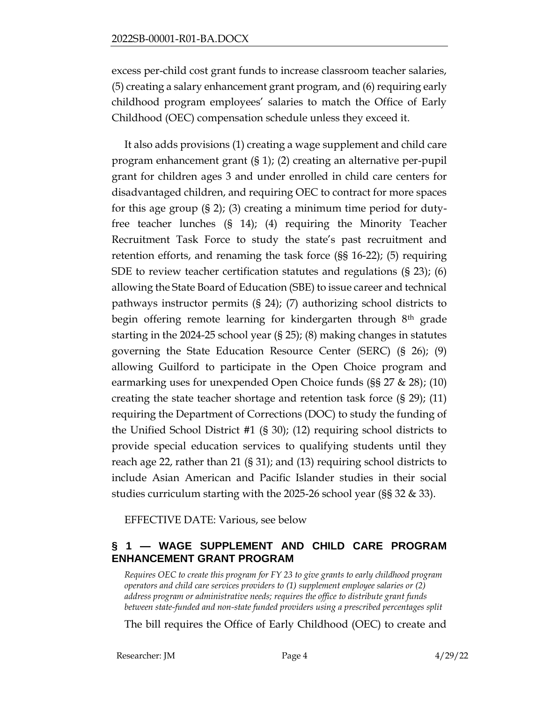excess per-child cost grant funds to increase classroom teacher salaries, (5) creating a salary enhancement grant program, and (6) requiring early childhood program employees' salaries to match the Office of Early Childhood (OEC) compensation schedule unless they exceed it.

It also adds provisions (1) creating a wage supplement and child care program enhancement grant (§ 1); (2) creating an alternative per-pupil grant for children ages 3 and under enrolled in child care centers for disadvantaged children, and requiring OEC to contract for more spaces for this age group  $(\S 2)$ ; (3) creating a minimum time period for dutyfree teacher lunches (§ 14); (4) requiring the Minority Teacher Recruitment Task Force to study the state's past recruitment and retention efforts, and renaming the task force (§§ 16-22); (5) requiring SDE to review teacher certification statutes and regulations (§ 23); (6) allowing the State Board of Education (SBE) to issue career and technical pathways instructor permits (§ 24); (7) authorizing school districts to begin offering remote learning for kindergarten through 8th grade starting in the 2024-25 school year (§ 25); (8) making changes in statutes governing the State Education Resource Center (SERC) (§ 26); (9) allowing Guilford to participate in the Open Choice program and earmarking uses for unexpended Open Choice funds (§§ 27 & 28); (10) creating the state teacher shortage and retention task force (§ 29); (11) requiring the Department of Corrections (DOC) to study the funding of the Unified School District #1 (§ 30); (12) requiring school districts to provide special education services to qualifying students until they reach age 22, rather than 21 (§ 31); and (13) requiring school districts to include Asian American and Pacific Islander studies in their social studies curriculum starting with the 2025-26 school year (§§ 32 & 33).

EFFECTIVE DATE: Various, see below

# <span id="page-3-0"></span>**§ 1 — WAGE SUPPLEMENT AND CHILD CARE PROGRAM ENHANCEMENT GRANT PROGRAM**

*Requires OEC to create this program for FY 23 to give grants to early childhood program operators and child care services providers to (1) supplement employee salaries or (2) address program or administrative needs; requires the office to distribute grant funds between state-funded and non-state funded providers using a prescribed percentages split*

The bill requires the Office of Early Childhood (OEC) to create and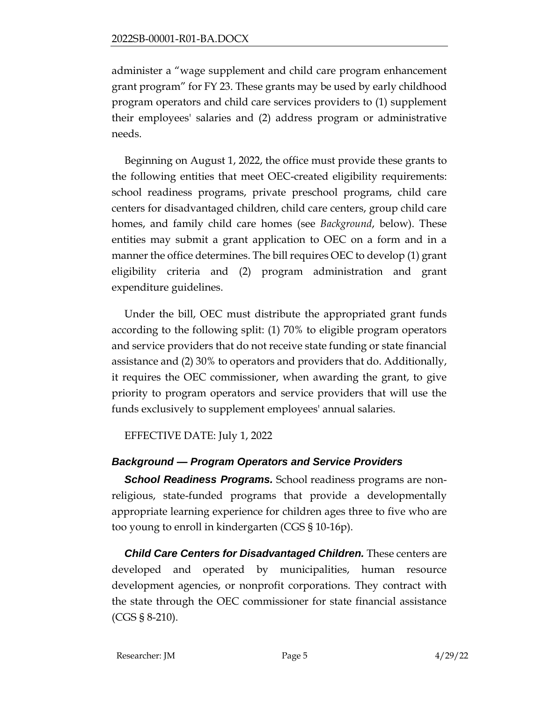administer a "wage supplement and child care program enhancement grant program" for FY 23. These grants may be used by early childhood program operators and child care services providers to (1) supplement their employees' salaries and (2) address program or administrative needs.

Beginning on August 1, 2022, the office must provide these grants to the following entities that meet OEC-created eligibility requirements: school readiness programs, private preschool programs, child care centers for disadvantaged children, child care centers, group child care homes, and family child care homes (see *Background*, below). These entities may submit a grant application to OEC on a form and in a manner the office determines. The bill requires OEC to develop (1) grant eligibility criteria and (2) program administration and grant expenditure guidelines.

Under the bill, OEC must distribute the appropriated grant funds according to the following split: (1) 70% to eligible program operators and service providers that do not receive state funding or state financial assistance and (2) 30% to operators and providers that do. Additionally, it requires the OEC commissioner, when awarding the grant, to give priority to program operators and service providers that will use the funds exclusively to supplement employees' annual salaries.

EFFECTIVE DATE: July 1, 2022

# *Background — Program Operators and Service Providers*

*School Readiness Programs.* School readiness programs are nonreligious, state-funded programs that provide a developmentally appropriate learning experience for children ages three to five who are too young to enroll in kindergarten (CGS § 10-16p).

*Child Care Centers for Disadvantaged Children.* These centers are developed and operated by municipalities, human resource development agencies, or nonprofit corporations. They contract with the state through the OEC commissioner for state financial assistance (CGS § 8-210).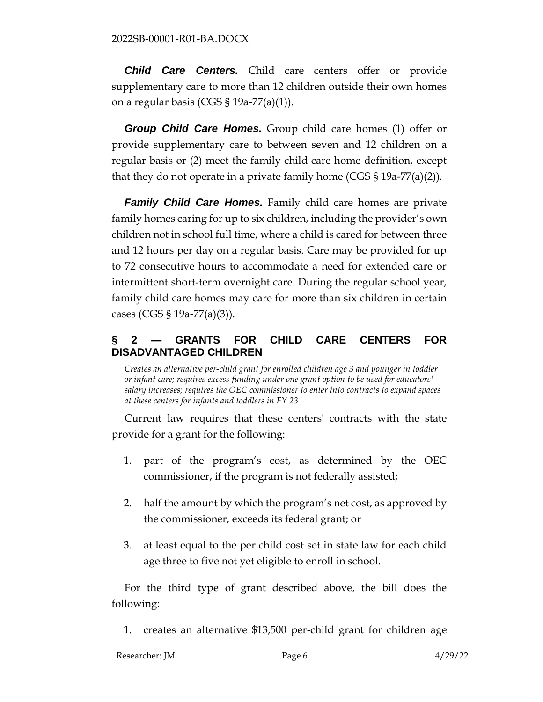*Child Care Centers.* Child care centers offer or provide supplementary care to more than 12 children outside their own homes on a regular basis (CGS  $\S 19a-77(a)(1)$ ).

*Group Child Care Homes.* Group child care homes (1) offer or provide supplementary care to between seven and 12 children on a regular basis or (2) meet the family child care home definition, except that they do not operate in a private family home (CGS  $\S 19a-77(a)(2)$ ).

*Family Child Care Homes.* Family child care homes are private family homes caring for up to six children, including the provider's own children not in school full time, where a child is cared for between three and 12 hours per day on a regular basis. Care may be provided for up to 72 consecutive hours to accommodate a need for extended care or intermittent short-term overnight care. During the regular school year, family child care homes may care for more than six children in certain cases (CGS § 19a-77(a)(3)).

# <span id="page-5-0"></span>**§ 2 — GRANTS FOR CHILD CARE CENTERS FOR DISADVANTAGED CHILDREN**

*Creates an alternative per-child grant for enrolled children age 3 and younger in toddler or infant care; requires excess funding under one grant option to be used for educators' salary increases; requires the OEC commissioner to enter into contracts to expand spaces at these centers for infants and toddlers in FY 23*

Current law requires that these centers' contracts with the state provide for a grant for the following:

- 1. part of the program's cost, as determined by the OEC commissioner, if the program is not federally assisted;
- 2. half the amount by which the program's net cost, as approved by the commissioner, exceeds its federal grant; or
- 3. at least equal to the per child cost set in state law for each child age three to five not yet eligible to enroll in school.

For the third type of grant described above, the bill does the following:

1. creates an alternative \$13,500 per-child grant for children age

| Researcher: JM | Page 6 | 4/29/22 |
|----------------|--------|---------|
|                |        |         |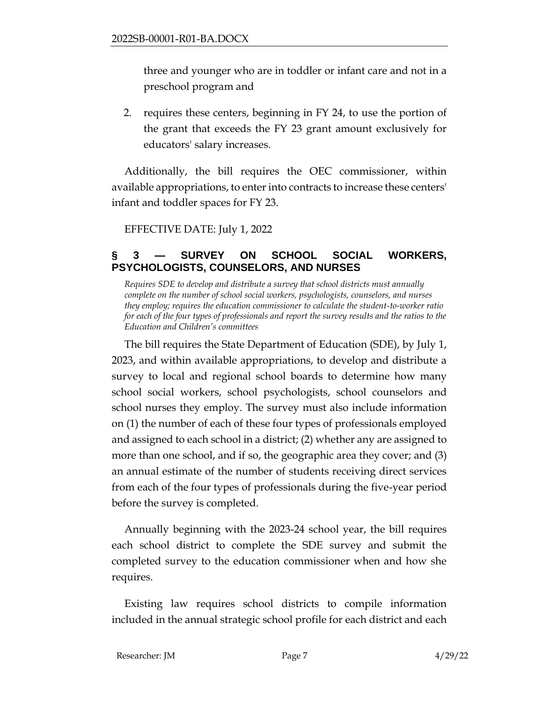three and younger who are in toddler or infant care and not in a preschool program and

2. requires these centers, beginning in FY 24, to use the portion of the grant that exceeds the FY 23 grant amount exclusively for educators' salary increases.

Additionally, the bill requires the OEC commissioner, within available appropriations, to enter into contracts to increase these centers' infant and toddler spaces for FY 23.

EFFECTIVE DATE: July 1, 2022

# <span id="page-6-0"></span>**§ 3 — SURVEY ON SCHOOL SOCIAL WORKERS, PSYCHOLOGISTS, COUNSELORS, AND NURSES**

*Requires SDE to develop and distribute a survey that school districts must annually complete on the number of school social workers, psychologists, counselors, and nurses they employ; requires the education commissioner to calculate the student-to-worker ratio for each of the four types of professionals and report the survey results and the ratios to the Education and Children's committees* 

The bill requires the State Department of Education (SDE), by July 1, 2023, and within available appropriations, to develop and distribute a survey to local and regional school boards to determine how many school social workers, school psychologists, school counselors and school nurses they employ. The survey must also include information on (1) the number of each of these four types of professionals employed and assigned to each school in a district; (2) whether any are assigned to more than one school, and if so, the geographic area they cover; and (3) an annual estimate of the number of students receiving direct services from each of the four types of professionals during the five-year period before the survey is completed.

Annually beginning with the 2023-24 school year, the bill requires each school district to complete the SDE survey and submit the completed survey to the education commissioner when and how she requires.

Existing law requires school districts to compile information included in the annual strategic school profile for each district and each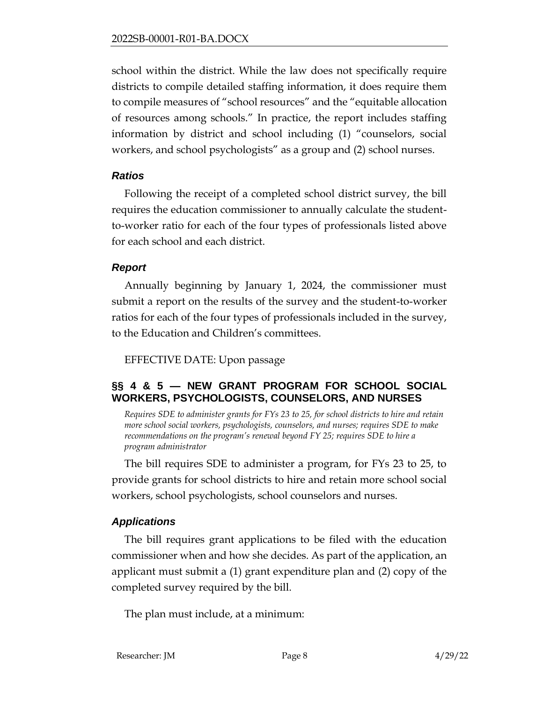school within the district. While the law does not specifically require districts to compile detailed staffing information, it does require them to compile measures of "school resources" and the "equitable allocation of resources among schools." In practice, the report includes staffing information by district and school including (1) "counselors, social workers, and school psychologists" as a group and (2) school nurses.

## *Ratios*

Following the receipt of a completed school district survey, the bill requires the education commissioner to annually calculate the studentto-worker ratio for each of the four types of professionals listed above for each school and each district.

# *Report*

Annually beginning by January 1, 2024, the commissioner must submit a report on the results of the survey and the student-to-worker ratios for each of the four types of professionals included in the survey, to the Education and Children's committees.

EFFECTIVE DATE: Upon passage

# <span id="page-7-0"></span>**§§ 4 & 5 — NEW GRANT PROGRAM FOR SCHOOL SOCIAL WORKERS, PSYCHOLOGISTS, COUNSELORS, AND NURSES**

*Requires SDE to administer grants for FYs 23 to 25, for school districts to hire and retain more school social workers, psychologists, counselors, and nurses; requires SDE to make recommendations on the program's renewal beyond FY 25; requires SDE to hire a program administrator* 

The bill requires SDE to administer a program, for FYs 23 to 25, to provide grants for school districts to hire and retain more school social workers, school psychologists, school counselors and nurses.

# *Applications*

The bill requires grant applications to be filed with the education commissioner when and how she decides. As part of the application, an applicant must submit a (1) grant expenditure plan and (2) copy of the completed survey required by the bill.

The plan must include, at a minimum: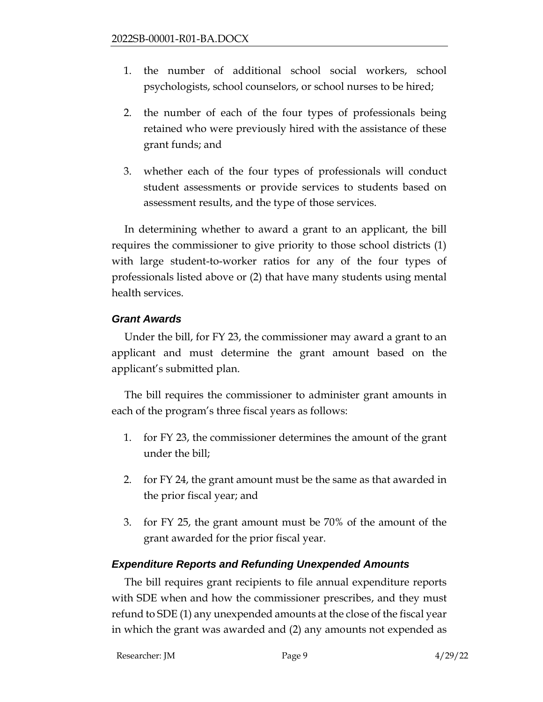- 1. the number of additional school social workers, school psychologists, school counselors, or school nurses to be hired;
- 2. the number of each of the four types of professionals being retained who were previously hired with the assistance of these grant funds; and
- 3. whether each of the four types of professionals will conduct student assessments or provide services to students based on assessment results, and the type of those services.

In determining whether to award a grant to an applicant, the bill requires the commissioner to give priority to those school districts (1) with large student-to-worker ratios for any of the four types of professionals listed above or (2) that have many students using mental health services.

# *Grant Awards*

Under the bill, for FY 23, the commissioner may award a grant to an applicant and must determine the grant amount based on the applicant's submitted plan.

The bill requires the commissioner to administer grant amounts in each of the program's three fiscal years as follows:

- 1. for FY 23, the commissioner determines the amount of the grant under the bill;
- 2. for FY 24, the grant amount must be the same as that awarded in the prior fiscal year; and
- 3. for FY 25, the grant amount must be 70% of the amount of the grant awarded for the prior fiscal year.

# *Expenditure Reports and Refunding Unexpended Amounts*

The bill requires grant recipients to file annual expenditure reports with SDE when and how the commissioner prescribes, and they must refund to SDE (1) any unexpended amounts at the close of the fiscal year in which the grant was awarded and (2) any amounts not expended as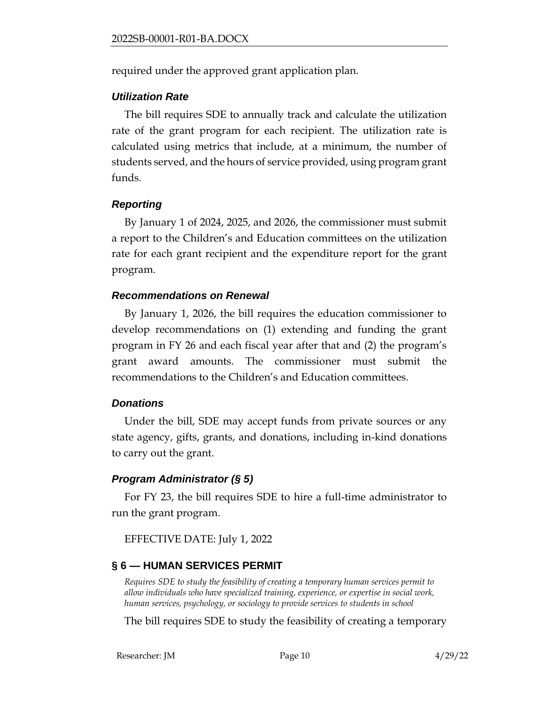required under the approved grant application plan.

### *Utilization Rate*

The bill requires SDE to annually track and calculate the utilization rate of the grant program for each recipient. The utilization rate is calculated using metrics that include, at a minimum, the number of students served, and the hours of service provided, using program grant funds.

# *Reporting*

By January 1 of 2024, 2025, and 2026, the commissioner must submit a report to the Children's and Education committees on the utilization rate for each grant recipient and the expenditure report for the grant program.

## *Recommendations on Renewal*

By January 1, 2026, the bill requires the education commissioner to develop recommendations on (1) extending and funding the grant program in FY 26 and each fiscal year after that and (2) the program's grant award amounts. The commissioner must submit the recommendations to the Children's and Education committees.

### *Donations*

Under the bill, SDE may accept funds from private sources or any state agency, gifts, grants, and donations, including in-kind donations to carry out the grant.

# *Program Administrator (§ 5)*

For FY 23, the bill requires SDE to hire a full-time administrator to run the grant program.

# EFFECTIVE DATE: July 1, 2022

# <span id="page-9-0"></span>**§ 6 — HUMAN SERVICES PERMIT**

*Requires SDE to study the feasibility of creating a temporary human services permit to allow individuals who have specialized training, experience, or expertise in social work, human services, psychology, or sociology to provide services to students in school*

The bill requires SDE to study the feasibility of creating a temporary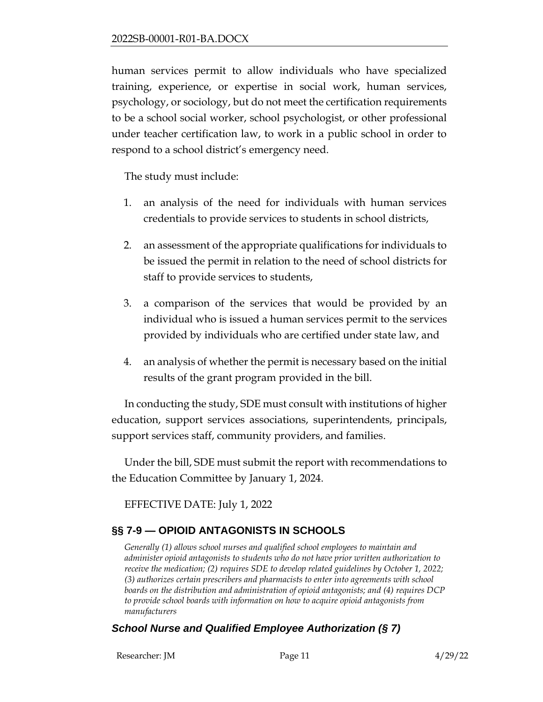human services permit to allow individuals who have specialized training, experience, or expertise in social work, human services, psychology, or sociology, but do not meet the certification requirements to be a school social worker, school psychologist, or other professional under teacher certification law, to work in a public school in order to respond to a school district's emergency need.

The study must include:

- 1. an analysis of the need for individuals with human services credentials to provide services to students in school districts,
- 2. an assessment of the appropriate qualifications for individuals to be issued the permit in relation to the need of school districts for staff to provide services to students,
- 3. a comparison of the services that would be provided by an individual who is issued a human services permit to the services provided by individuals who are certified under state law, and
- 4. an analysis of whether the permit is necessary based on the initial results of the grant program provided in the bill.

In conducting the study, SDE must consult with institutions of higher education, support services associations, superintendents, principals, support services staff, community providers, and families.

Under the bill, SDE must submit the report with recommendations to the Education Committee by January 1, 2024.

EFFECTIVE DATE: July 1, 2022

# <span id="page-10-0"></span>**§§ 7-9 — OPIOID ANTAGONISTS IN SCHOOLS**

*Generally (1) allows school nurses and qualified school employees to maintain and administer opioid antagonists to students who do not have prior written authorization to receive the medication; (2) requires SDE to develop related guidelines by October 1, 2022; (3) authorizes certain prescribers and pharmacists to enter into agreements with school boards on the distribution and administration of opioid antagonists; and (4) requires DCP to provide school boards with information on how to acquire opioid antagonists from manufacturers*

# *School Nurse and Qualified Employee Authorization (§ 7)*

Researcher: JM Page 11 4/29/22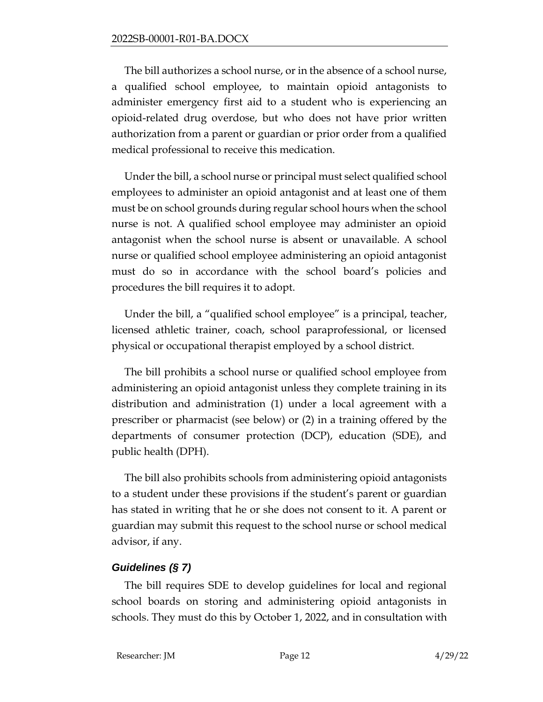The bill authorizes a school nurse, or in the absence of a school nurse, a qualified school employee, to maintain opioid antagonists to administer emergency first aid to a student who is experiencing an opioid-related drug overdose, but who does not have prior written authorization from a parent or guardian or prior order from a qualified medical professional to receive this medication.

Under the bill, a school nurse or principal must select qualified school employees to administer an opioid antagonist and at least one of them must be on school grounds during regular school hours when the school nurse is not. A qualified school employee may administer an opioid antagonist when the school nurse is absent or unavailable. A school nurse or qualified school employee administering an opioid antagonist must do so in accordance with the school board's policies and procedures the bill requires it to adopt.

Under the bill, a "qualified school employee" is a principal, teacher, licensed athletic trainer, coach, school paraprofessional, or licensed physical or occupational therapist employed by a school district.

The bill prohibits a school nurse or qualified school employee from administering an opioid antagonist unless they complete training in its distribution and administration (1) under a local agreement with a prescriber or pharmacist (see below) or (2) in a training offered by the departments of consumer protection (DCP), education (SDE), and public health (DPH).

The bill also prohibits schools from administering opioid antagonists to a student under these provisions if the student's parent or guardian has stated in writing that he or she does not consent to it. A parent or guardian may submit this request to the school nurse or school medical advisor, if any.

# *Guidelines (§ 7)*

The bill requires SDE to develop guidelines for local and regional school boards on storing and administering opioid antagonists in schools. They must do this by October 1, 2022, and in consultation with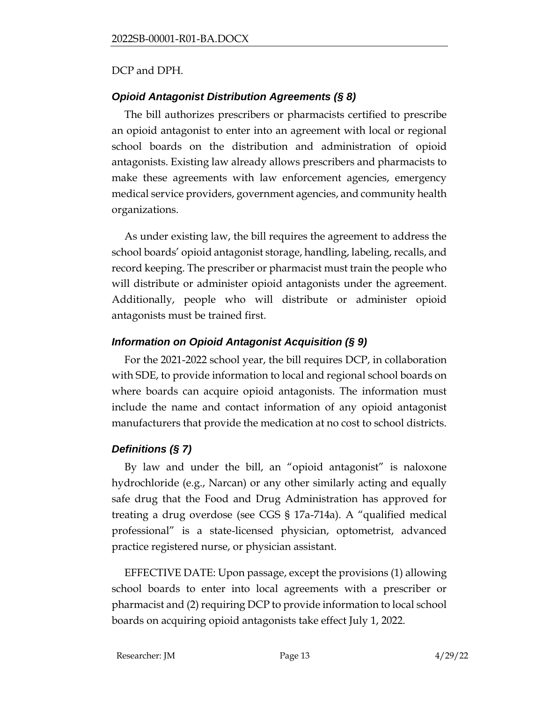## DCP and DPH.

# *Opioid Antagonist Distribution Agreements (§ 8)*

The bill authorizes prescribers or pharmacists certified to prescribe an opioid antagonist to enter into an agreement with local or regional school boards on the distribution and administration of opioid antagonists. Existing law already allows prescribers and pharmacists to make these agreements with law enforcement agencies, emergency medical service providers, government agencies, and community health organizations.

As under existing law, the bill requires the agreement to address the school boards' opioid antagonist storage, handling, labeling, recalls, and record keeping. The prescriber or pharmacist must train the people who will distribute or administer opioid antagonists under the agreement. Additionally, people who will distribute or administer opioid antagonists must be trained first.

# *Information on Opioid Antagonist Acquisition (§ 9)*

For the 2021-2022 school year, the bill requires DCP, in collaboration with SDE, to provide information to local and regional school boards on where boards can acquire opioid antagonists. The information must include the name and contact information of any opioid antagonist manufacturers that provide the medication at no cost to school districts.

# *Definitions (§ 7)*

By law and under the bill, an "opioid antagonist" is naloxone hydrochloride (e.g., Narcan) or any other similarly acting and equally safe drug that the Food and Drug Administration has approved for treating a drug overdose (see CGS § 17a-714a). A "qualified medical professional" is a state-licensed physician, optometrist, advanced practice registered nurse, or physician assistant.

EFFECTIVE DATE: Upon passage, except the provisions (1) allowing school boards to enter into local agreements with a prescriber or pharmacist and (2) requiring DCP to provide information to local school boards on acquiring opioid antagonists take effect July 1, 2022.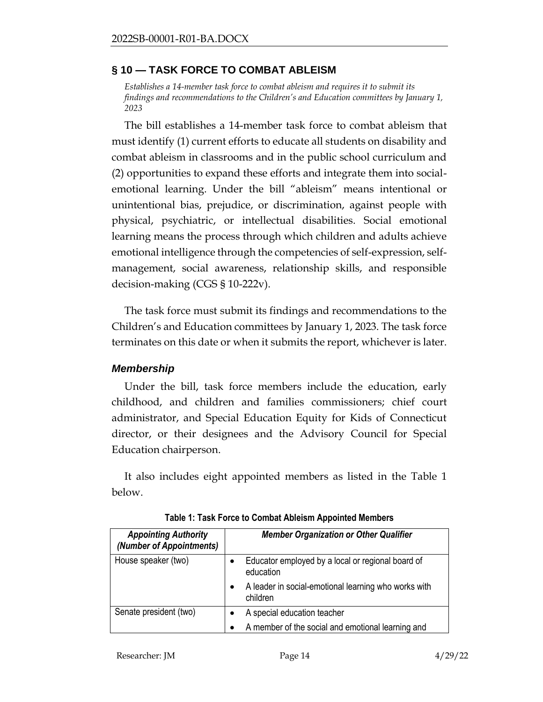## <span id="page-13-0"></span>**§ 10 — TASK FORCE TO COMBAT ABLEISM**

*Establishes a 14-member task force to combat ableism and requires it to submit its findings and recommendations to the Children's and Education committees by January 1, 2023*

The bill establishes a 14-member task force to combat ableism that must identify (1) current efforts to educate all students on disability and combat ableism in classrooms and in the public school curriculum and (2) opportunities to expand these efforts and integrate them into socialemotional learning. Under the bill "ableism" means intentional or unintentional bias, prejudice, or discrimination, against people with physical, psychiatric, or intellectual disabilities. Social emotional learning means the process through which children and adults achieve emotional intelligence through the competencies of self-expression, selfmanagement, social awareness, relationship skills, and responsible decision-making (CGS § 10-222v).

The task force must submit its findings and recommendations to the Children's and Education committees by January 1, 2023. The task force terminates on this date or when it submits the report, whichever is later.

### *Membership*

Under the bill, task force members include the education, early childhood, and children and families commissioners; chief court administrator, and Special Education Equity for Kids of Connecticut director, or their designees and the Advisory Council for Special Education chairperson.

It also includes eight appointed members as listed in the Table 1 below.

| <b>Appointing Authority</b><br>(Number of Appointments) | <b>Member Organization or Other Qualifier</b>                    |  |
|---------------------------------------------------------|------------------------------------------------------------------|--|
| House speaker (two)                                     | Educator employed by a local or regional board of<br>education   |  |
|                                                         | A leader in social-emotional learning who works with<br>children |  |
| Senate president (two)                                  | A special education teacher                                      |  |
|                                                         | A member of the social and emotional learning and                |  |

**Table 1: Task Force to Combat Ableism Appointed Members**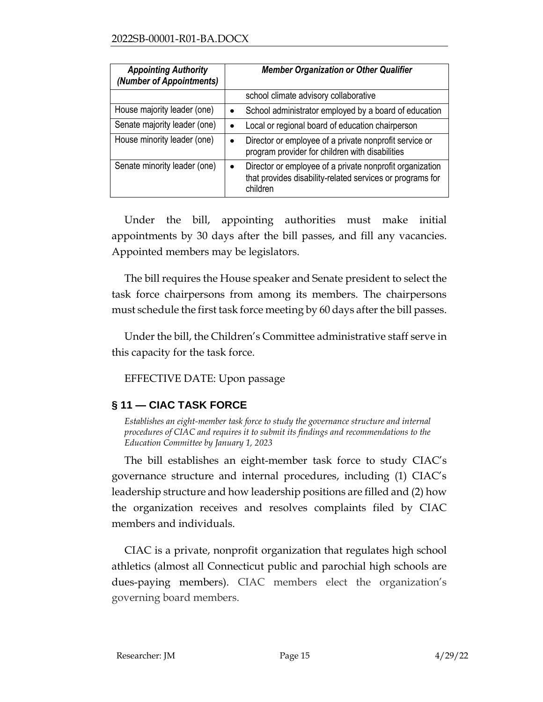| <b>Appointing Authority</b><br>(Number of Appointments) | <b>Member Organization or Other Qualifier</b>                                                                                                  |  |
|---------------------------------------------------------|------------------------------------------------------------------------------------------------------------------------------------------------|--|
|                                                         | school climate advisory collaborative                                                                                                          |  |
| House majority leader (one)                             | School administrator employed by a board of education                                                                                          |  |
| Senate majority leader (one)                            | Local or regional board of education chairperson                                                                                               |  |
| House minority leader (one)                             | Director or employee of a private nonprofit service or<br>$\bullet$<br>program provider for children with disabilities                         |  |
| Senate minority leader (one)                            | Director or employee of a private nonprofit organization<br>$\bullet$<br>that provides disability-related services or programs for<br>children |  |

Under the bill, appointing authorities must make initial appointments by 30 days after the bill passes, and fill any vacancies. Appointed members may be legislators.

The bill requires the House speaker and Senate president to select the task force chairpersons from among its members. The chairpersons must schedule the first task force meeting by 60 days after the bill passes.

Under the bill, the Children's Committee administrative staff serve in this capacity for the task force.

EFFECTIVE DATE: Upon passage

# <span id="page-14-0"></span>**§ 11 — CIAC TASK FORCE**

*Establishes an eight-member task force to study the governance structure and internal procedures of CIAC and requires it to submit its findings and recommendations to the Education Committee by January 1, 2023*

The bill establishes an eight-member task force to study CIAC's governance structure and internal procedures, including (1) CIAC's leadership structure and how leadership positions are filled and (2) how the organization receives and resolves complaints filed by CIAC members and individuals.

CIAC is a private, nonprofit organization that regulates high school athletics (almost all Connecticut public and parochial high schools are dues-paying members). CIAC members elect the organization's governing board members.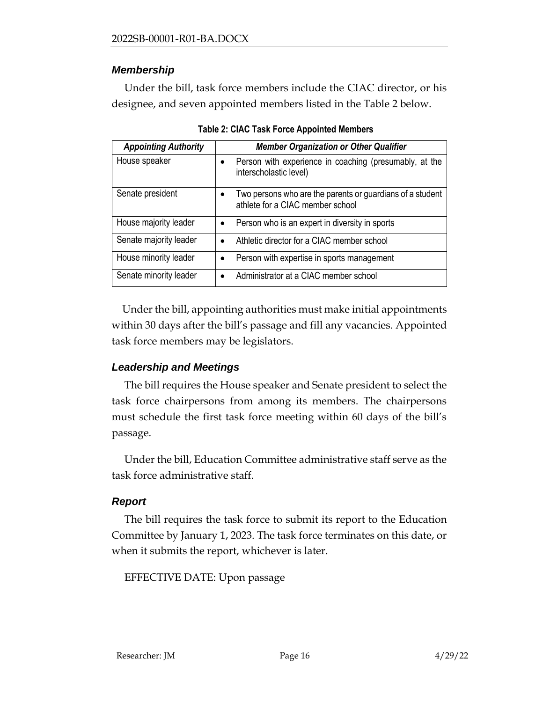# *Membership*

Under the bill, task force members include the CIAC director, or his designee, and seven appointed members listed in the Table 2 below.

| <b>Appointing Authority</b> | <b>Member Organization or Other Qualifier</b>                                                 |  |  |
|-----------------------------|-----------------------------------------------------------------------------------------------|--|--|
| House speaker               | Person with experience in coaching (presumably, at the<br>interscholastic level)              |  |  |
| Senate president            | Two persons who are the parents or guardians of a student<br>athlete for a CIAC member school |  |  |
| House majority leader       | Person who is an expert in diversity in sports<br>$\bullet$                                   |  |  |
| Senate majority leader      | Athletic director for a CIAC member school<br>$\bullet$                                       |  |  |
| House minority leader       | Person with expertise in sports management                                                    |  |  |
| Senate minority leader      | Administrator at a CIAC member school                                                         |  |  |

|  |  | <b>Table 2: CIAC Task Force Appointed Members</b> |  |  |
|--|--|---------------------------------------------------|--|--|
|--|--|---------------------------------------------------|--|--|

 Under the bill, appointing authorities must make initial appointments within 30 days after the bill's passage and fill any vacancies. Appointed task force members may be legislators.

# *Leadership and Meetings*

The bill requires the House speaker and Senate president to select the task force chairpersons from among its members. The chairpersons must schedule the first task force meeting within 60 days of the bill's passage.

Under the bill, Education Committee administrative staff serve as the task force administrative staff.

# *Report*

The bill requires the task force to submit its report to the Education Committee by January 1, 2023. The task force terminates on this date, or when it submits the report, whichever is later.

EFFECTIVE DATE: Upon passage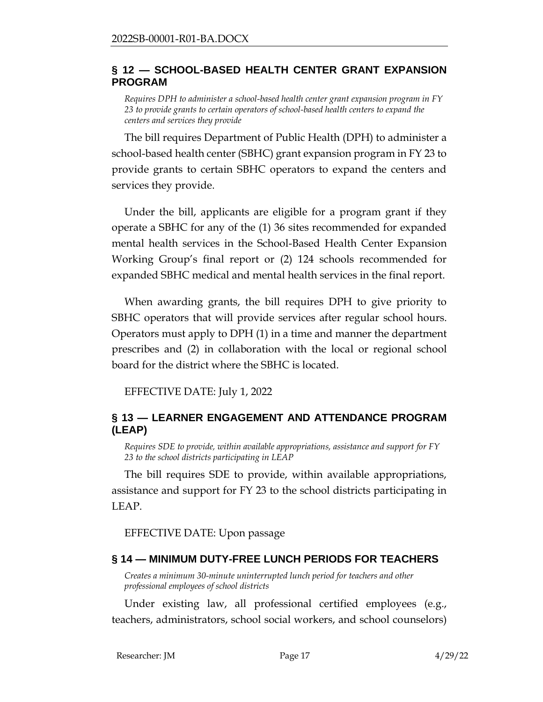### <span id="page-16-0"></span>**§ 12 — SCHOOL-BASED HEALTH CENTER GRANT EXPANSION PROGRAM**

*Requires DPH to administer a school-based health center grant expansion program in FY 23 to provide grants to certain operators of school-based health centers to expand the centers and services they provide*

The bill requires Department of Public Health (DPH) to administer a school-based health center (SBHC) grant expansion program in FY 23 to provide grants to certain SBHC operators to expand the centers and services they provide.

Under the bill, applicants are eligible for a program grant if they operate a SBHC for any of the (1) 36 sites recommended for expanded mental health services in the School-Based Health Center Expansion Working Group's final report or (2) 124 schools recommended for expanded SBHC medical and mental health services in the final report.

When awarding grants, the bill requires DPH to give priority to SBHC operators that will provide services after regular school hours. Operators must apply to DPH (1) in a time and manner the department prescribes and (2) in collaboration with the local or regional school board for the district where the SBHC is located.

EFFECTIVE DATE: July 1, 2022

# <span id="page-16-1"></span>**§ 13 — LEARNER ENGAGEMENT AND ATTENDANCE PROGRAM (LEAP)**

*Requires SDE to provide, within available appropriations, assistance and support for FY 23 to the school districts participating in LEAP*

The bill requires SDE to provide, within available appropriations, assistance and support for FY 23 to the school districts participating in LEAP.

EFFECTIVE DATE: Upon passage

# <span id="page-16-2"></span>**§ 14 — MINIMUM DUTY-FREE LUNCH PERIODS FOR TEACHERS**

*Creates a minimum 30-minute uninterrupted lunch period for teachers and other professional employees of school districts*

Under existing law, all professional certified employees (e.g., teachers, administrators, school social workers, and school counselors)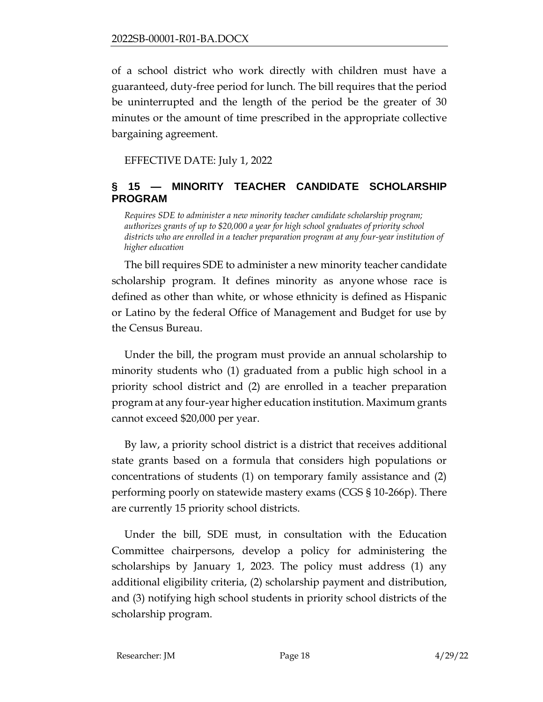of a school district who work directly with children must have a guaranteed, duty-free period for lunch. The bill requires that the period be uninterrupted and the length of the period be the greater of 30 minutes or the amount of time prescribed in the appropriate collective bargaining agreement.

EFFECTIVE DATE: July 1, 2022

# <span id="page-17-0"></span>**§ 15 — MINORITY TEACHER CANDIDATE SCHOLARSHIP PROGRAM**

*Requires SDE to administer a new minority teacher candidate scholarship program; authorizes grants of up to \$20,000 a year for high school graduates of priority school districts who are enrolled in a teacher preparation program at any four-year institution of higher education* 

The bill requires SDE to administer a new minority teacher candidate scholarship program. It defines minority as anyone whose race is defined as other than white, or whose ethnicity is defined as Hispanic or Latino by the federal Office of Management and Budget for use by the Census Bureau.

Under the bill, the program must provide an annual scholarship to minority students who (1) graduated from a public high school in a priority school district and (2) are enrolled in a teacher preparation program at any four-year higher education institution. Maximum grants cannot exceed \$20,000 per year.

By law, a priority school district is a district that receives additional state grants based on a formula that considers high populations or concentrations of students (1) on temporary family assistance and (2) performing poorly on statewide mastery exams (CGS § 10-266p). There are currently 15 priority school districts.

Under the bill, SDE must, in consultation with the Education Committee chairpersons, develop a policy for administering the scholarships by January 1, 2023. The policy must address (1) any additional eligibility criteria, (2) scholarship payment and distribution, and (3) notifying high school students in priority school districts of the scholarship program.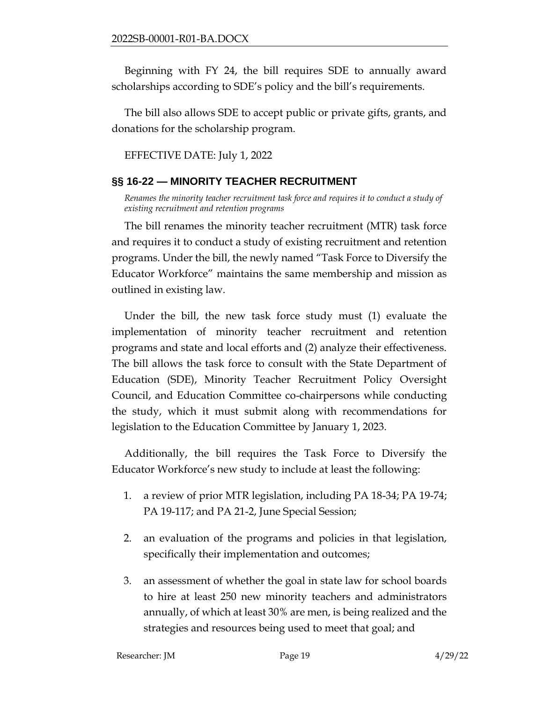Beginning with FY 24, the bill requires SDE to annually award scholarships according to SDE's policy and the bill's requirements.

The bill also allows SDE to accept public or private gifts, grants, and donations for the scholarship program.

EFFECTIVE DATE: July 1, 2022

## <span id="page-18-0"></span>**§§ 16-22 — MINORITY TEACHER RECRUITMENT**

*Renames the minority teacher recruitment task force and requires it to conduct a study of existing recruitment and retention programs*

The bill renames the minority teacher recruitment (MTR) task force and requires it to conduct a study of existing recruitment and retention programs. Under the bill, the newly named "Task Force to Diversify the Educator Workforce" maintains the same membership and mission as outlined in existing law.

Under the bill, the new task force study must (1) evaluate the implementation of minority teacher recruitment and retention programs and state and local efforts and (2) analyze their effectiveness. The bill allows the task force to consult with the State Department of Education (SDE), Minority Teacher Recruitment Policy Oversight Council, and Education Committee co-chairpersons while conducting the study, which it must submit along with recommendations for legislation to the Education Committee by January 1, 2023.

Additionally, the bill requires the Task Force to Diversify the Educator Workforce's new study to include at least the following:

- 1. a review of prior MTR legislation, including PA 18-34; PA 19-74; PA 19-117; and PA 21-2, June Special Session;
- 2. an evaluation of the programs and policies in that legislation, specifically their implementation and outcomes;
- 3. an assessment of whether the goal in state law for school boards to hire at least 250 new minority teachers and administrators annually, of which at least 30% are men, is being realized and the strategies and resources being used to meet that goal; and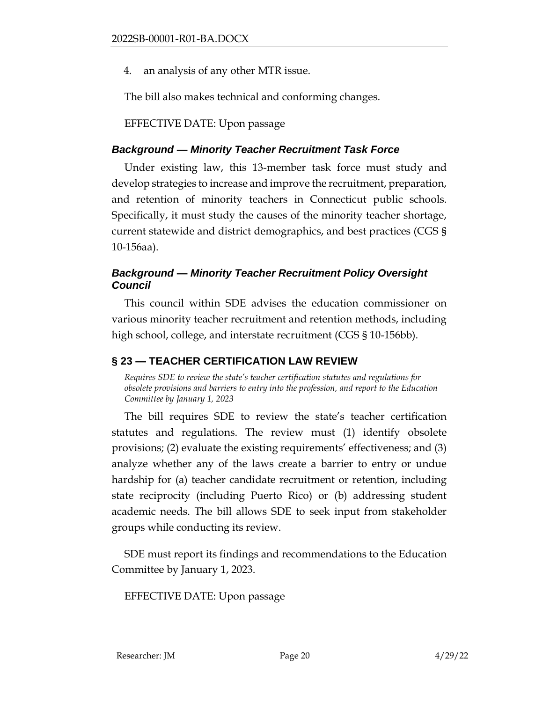4. an analysis of any other MTR issue.

The bill also makes technical and conforming changes.

EFFECTIVE DATE: Upon passage

# *Background — Minority Teacher Recruitment Task Force*

Under existing law, this 13-member task force must study and develop strategies to increase and improve the recruitment, preparation, and retention of minority teachers in Connecticut public schools. Specifically, it must study the causes of the minority teacher shortage, current statewide and district demographics, and best practices (CGS § 10-156aa).

# *Background — Minority Teacher Recruitment Policy Oversight Council*

This council within SDE advises the education commissioner on various minority teacher recruitment and retention methods, including high school, college, and interstate recruitment (CGS § 10-156bb).

# <span id="page-19-0"></span>**§ 23 — TEACHER CERTIFICATION LAW REVIEW**

*Requires SDE to review the state's teacher certification statutes and regulations for obsolete provisions and barriers to entry into the profession, and report to the Education Committee by January 1, 2023*

The bill requires SDE to review the state's teacher certification statutes and regulations. The review must (1) identify obsolete provisions; (2) evaluate the existing requirements' effectiveness; and (3) analyze whether any of the laws create a barrier to entry or undue hardship for (a) teacher candidate recruitment or retention, including state reciprocity (including Puerto Rico) or (b) addressing student academic needs. The bill allows SDE to seek input from stakeholder groups while conducting its review.

SDE must report its findings and recommendations to the Education Committee by January 1, 2023.

EFFECTIVE DATE: Upon passage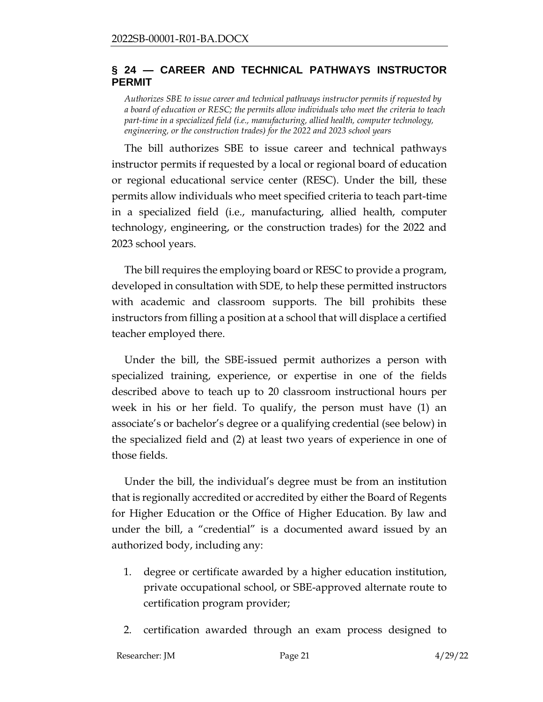## <span id="page-20-0"></span>**§ 24 — CAREER AND TECHNICAL PATHWAYS INSTRUCTOR PERMIT**

*Authorizes SBE to issue career and technical pathways instructor permits if requested by a board of education or RESC; the permits allow individuals who meet the criteria to teach part-time in a specialized field (i.e., manufacturing, allied health, computer technology, engineering, or the construction trades) for the 2022 and 2023 school years*

The bill authorizes SBE to issue career and technical pathways instructor permits if requested by a local or regional board of education or regional educational service center (RESC). Under the bill, these permits allow individuals who meet specified criteria to teach part-time in a specialized field (i.e., manufacturing, allied health, computer technology, engineering, or the construction trades) for the 2022 and 2023 school years.

The bill requires the employing board or RESC to provide a program, developed in consultation with SDE, to help these permitted instructors with academic and classroom supports. The bill prohibits these instructors from filling a position at a school that will displace a certified teacher employed there.

Under the bill, the SBE-issued permit authorizes a person with specialized training, experience, or expertise in one of the fields described above to teach up to 20 classroom instructional hours per week in his or her field. To qualify, the person must have (1) an associate's or bachelor's degree or a qualifying credential (see below) in the specialized field and (2) at least two years of experience in one of those fields.

Under the bill, the individual's degree must be from an institution that is regionally accredited or accredited by either the Board of Regents for Higher Education or the Office of Higher Education. By law and under the bill, a "credential" is a documented award issued by an authorized body, including any:

- 1. degree or certificate awarded by a higher education institution, private occupational school, or SBE-approved alternate route to certification program provider;
- 2. certification awarded through an exam process designed to

```
Researcher: JM Page 21 4/29/22
```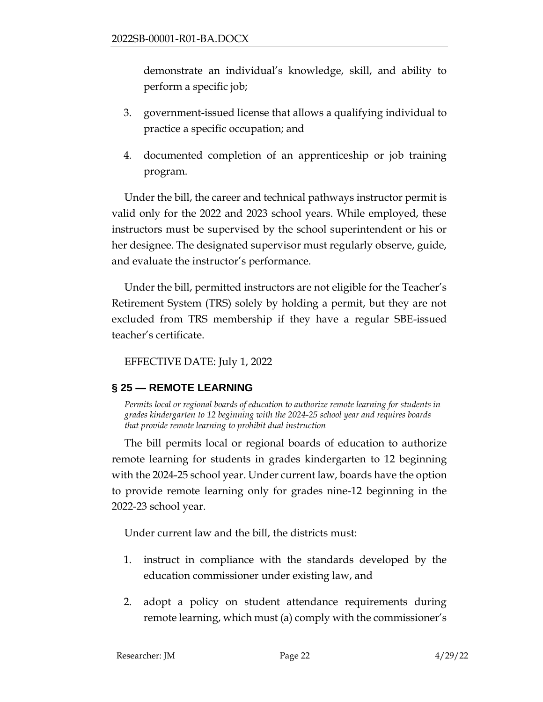demonstrate an individual's knowledge, skill, and ability to perform a specific job;

- 3. government-issued license that allows a qualifying individual to practice a specific occupation; and
- 4. documented completion of an apprenticeship or job training program.

Under the bill, the career and technical pathways instructor permit is valid only for the 2022 and 2023 school years. While employed, these instructors must be supervised by the school superintendent or his or her designee. The designated supervisor must regularly observe, guide, and evaluate the instructor's performance.

Under the bill, permitted instructors are not eligible for the Teacher's Retirement System (TRS) solely by holding a permit, but they are not excluded from TRS membership if they have a regular SBE-issued teacher's certificate.

EFFECTIVE DATE: July 1, 2022

# <span id="page-21-0"></span>**§ 25 — REMOTE LEARNING**

*Permits local or regional boards of education to authorize remote learning for students in grades kindergarten to 12 beginning with the 2024-25 school year and requires boards that provide remote learning to prohibit dual instruction*

The bill permits local or regional boards of education to authorize remote learning for students in grades kindergarten to 12 beginning with the 2024-25 school year. Under current law, boards have the option to provide remote learning only for grades nine-12 beginning in the 2022-23 school year.

Under current law and the bill, the districts must:

- 1. instruct in compliance with the standards developed by the education commissioner under existing law, and
- 2. adopt a policy on student attendance requirements during remote learning, which must (a) comply with the commissioner's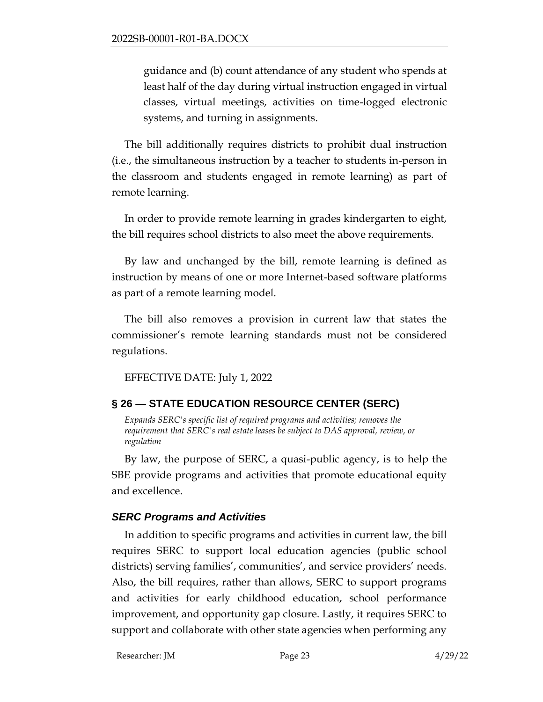guidance and (b) count attendance of any student who spends at least half of the day during virtual instruction engaged in virtual classes, virtual meetings, activities on time-logged electronic systems, and turning in assignments.

The bill additionally requires districts to prohibit dual instruction (i.e., the simultaneous instruction by a teacher to students in-person in the classroom and students engaged in remote learning) as part of remote learning.

In order to provide remote learning in grades kindergarten to eight, the bill requires school districts to also meet the above requirements.

By law and unchanged by the bill, remote learning is defined as instruction by means of one or more Internet-based software platforms as part of a remote learning model.

The bill also removes a provision in current law that states the commissioner's remote learning standards must not be considered regulations.

EFFECTIVE DATE: July 1, 2022

# <span id="page-22-0"></span>**§ 26 — STATE EDUCATION RESOURCE CENTER (SERC)**

*Expands SERC's specific list of required programs and activities; removes the requirement that SERC's real estate leases be subject to DAS approval, review, or regulation*

By law, the purpose of SERC, a quasi-public agency, is to help the SBE provide programs and activities that promote educational equity and excellence.

# *SERC Programs and Activities*

In addition to specific programs and activities in current law, the bill requires SERC to support local education agencies (public school districts) serving families', communities', and service providers' needs. Also, the bill requires, rather than allows, SERC to support programs and activities for early childhood education, school performance improvement, and opportunity gap closure. Lastly, it requires SERC to support and collaborate with other state agencies when performing any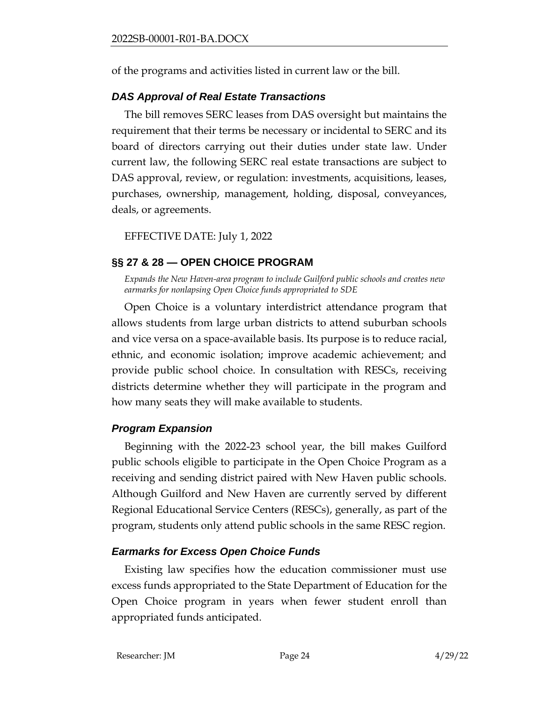of the programs and activities listed in current law or the bill.

# *DAS Approval of Real Estate Transactions*

The bill removes SERC leases from DAS oversight but maintains the requirement that their terms be necessary or incidental to SERC and its board of directors carrying out their duties under state law. Under current law, the following SERC real estate transactions are subject to DAS approval, review, or regulation: investments, acquisitions, leases, purchases, ownership, management, holding, disposal, conveyances, deals, or agreements.

EFFECTIVE DATE: July 1, 2022

# <span id="page-23-0"></span>**§§ 27 & 28 — OPEN CHOICE PROGRAM**

*Expands the New Haven-area program to include Guilford public schools and creates new earmarks for nonlapsing Open Choice funds appropriated to SDE*

Open Choice is a voluntary interdistrict attendance program that allows students from large urban districts to attend suburban schools and vice versa on a space-available basis. Its purpose is to reduce racial, ethnic, and economic isolation; improve academic achievement; and provide public school choice. In consultation with RESCs, receiving districts determine whether they will participate in the program and how many seats they will make available to students.

# *Program Expansion*

Beginning with the 2022-23 school year, the bill makes Guilford public schools eligible to participate in the Open Choice Program as a receiving and sending district paired with New Haven public schools. Although Guilford and New Haven are currently served by different Regional Educational Service Centers (RESCs), generally, as part of the program, students only attend public schools in the same RESC region.

# *Earmarks for Excess Open Choice Funds*

Existing law specifies how the education commissioner must use excess funds appropriated to the State Department of Education for the Open Choice program in years when fewer student enroll than appropriated funds anticipated.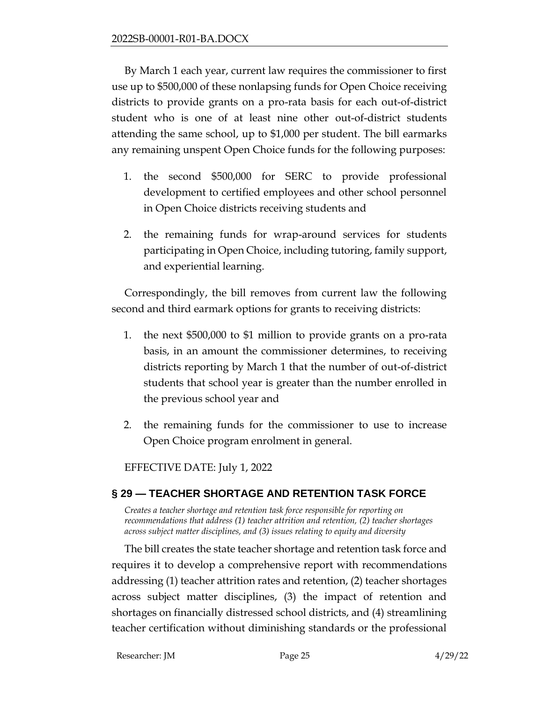By March 1 each year, current law requires the commissioner to first use up to \$500,000 of these nonlapsing funds for Open Choice receiving districts to provide grants on a pro-rata basis for each out-of-district student who is one of at least nine other out-of-district students attending the same school, up to \$1,000 per student. The bill earmarks any remaining unspent Open Choice funds for the following purposes:

- 1. the second \$500,000 for SERC to provide professional development to certified employees and other school personnel in Open Choice districts receiving students and
- 2. the remaining funds for wrap-around services for students participating in Open Choice, including tutoring, family support, and experiential learning.

Correspondingly, the bill removes from current law the following second and third earmark options for grants to receiving districts:

- 1. the next \$500,000 to \$1 million to provide grants on a pro-rata basis, in an amount the commissioner determines, to receiving districts reporting by March 1 that the number of out-of-district students that school year is greater than the number enrolled in the previous school year and
- 2. the remaining funds for the commissioner to use to increase Open Choice program enrolment in general.

EFFECTIVE DATE: July 1, 2022

# <span id="page-24-0"></span>**§ 29 — TEACHER SHORTAGE AND RETENTION TASK FORCE**

Creates a teacher shortage and retention task force responsible for reporting on *recommendations that address (1) teacher attrition and retention, (2) teacher shortages across subject matter disciplines, and (3) issues relating to equity and diversity*

The bill creates the state teacher shortage and retention task force and requires it to develop a comprehensive report with recommendations addressing (1) teacher attrition rates and retention, (2) teacher shortages across subject matter disciplines, (3) the impact of retention and shortages on financially distressed school districts, and (4) streamlining teacher certification without diminishing standards or the professional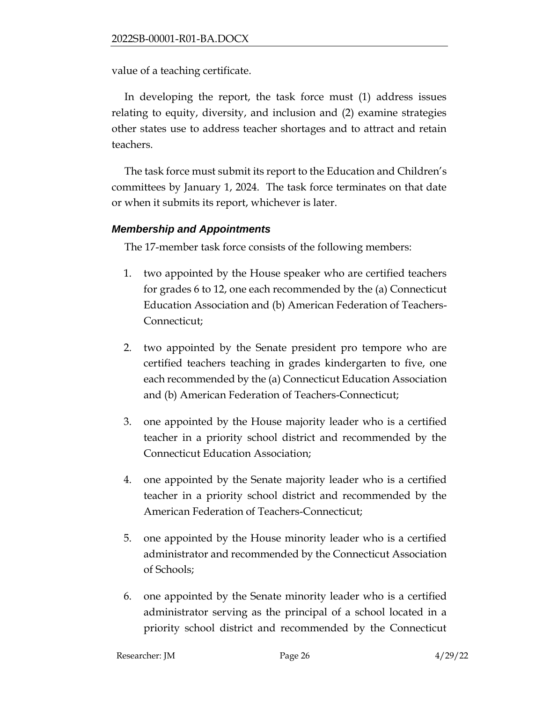value of a teaching certificate.

In developing the report, the task force must (1) address issues relating to equity, diversity, and inclusion and (2) examine strategies other states use to address teacher shortages and to attract and retain teachers.

The task force must submit its report to the Education and Children's committees by January 1, 2024. The task force terminates on that date or when it submits its report, whichever is later.

## *Membership and Appointments*

The 17-member task force consists of the following members:

- 1. two appointed by the House speaker who are certified teachers for grades 6 to 12, one each recommended by the (a) Connecticut Education Association and (b) American Federation of Teachers-Connecticut;
- 2. two appointed by the Senate president pro tempore who are certified teachers teaching in grades kindergarten to five, one each recommended by the (a) Connecticut Education Association and (b) American Federation of Teachers-Connecticut;
- 3. one appointed by the House majority leader who is a certified teacher in a priority school district and recommended by the Connecticut Education Association;
- 4. one appointed by the Senate majority leader who is a certified teacher in a priority school district and recommended by the American Federation of Teachers-Connecticut;
- 5. one appointed by the House minority leader who is a certified administrator and recommended by the Connecticut Association of Schools;
- 6. one appointed by the Senate minority leader who is a certified administrator serving as the principal of a school located in a priority school district and recommended by the Connecticut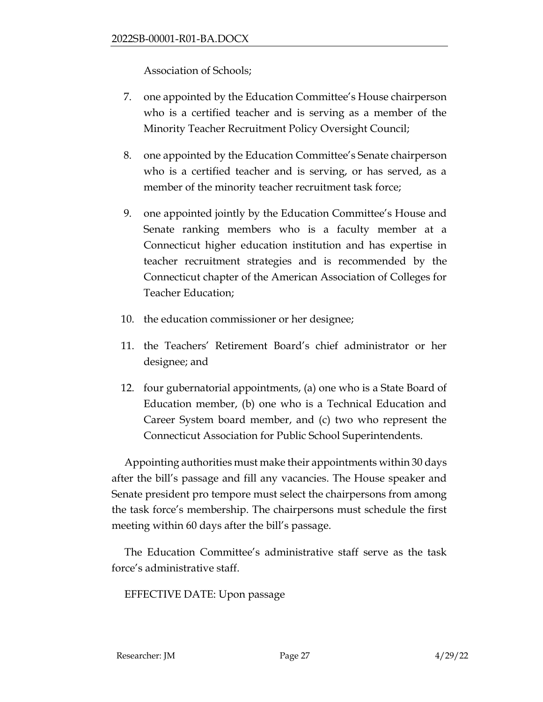Association of Schools;

- 7. one appointed by the Education Committee's House chairperson who is a certified teacher and is serving as a member of the Minority Teacher Recruitment Policy Oversight Council;
- 8. one appointed by the Education Committee's Senate chairperson who is a certified teacher and is serving, or has served, as a member of the minority teacher recruitment task force;
- 9. one appointed jointly by the Education Committee's House and Senate ranking members who is a faculty member at a Connecticut higher education institution and has expertise in teacher recruitment strategies and is recommended by the Connecticut chapter of the American Association of Colleges for Teacher Education;
- 10. the education commissioner or her designee;
- 11. the Teachers' Retirement Board's chief administrator or her designee; and
- 12. four gubernatorial appointments, (a) one who is a State Board of Education member, (b) one who is a Technical Education and Career System board member, and (c) two who represent the Connecticut Association for Public School Superintendents.

Appointing authorities must make their appointments within 30 days after the bill's passage and fill any vacancies. The House speaker and Senate president pro tempore must select the chairpersons from among the task force's membership. The chairpersons must schedule the first meeting within 60 days after the bill's passage.

The Education Committee's administrative staff serve as the task force's administrative staff.

EFFECTIVE DATE: Upon passage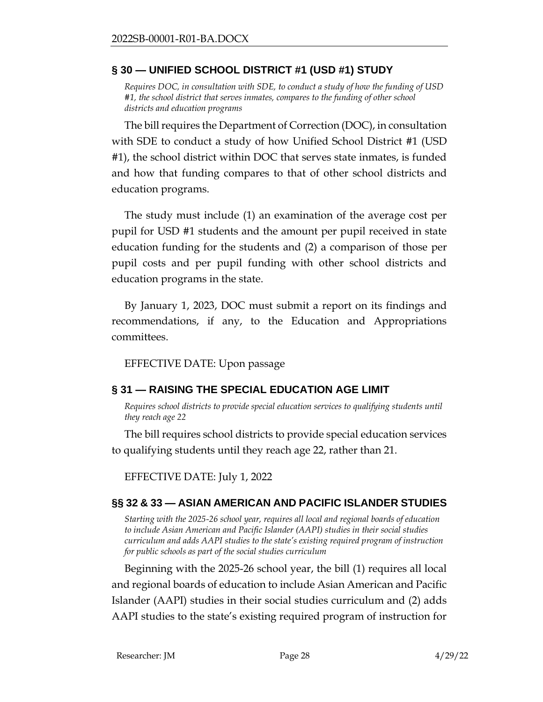### <span id="page-27-0"></span>**§ 30 — UNIFIED SCHOOL DISTRICT #1 (USD #1) STUDY**

*Requires DOC, in consultation with SDE, to conduct a study of how the funding of USD #1, the school district that serves inmates, compares to the funding of other school districts and education programs* 

The bill requires the Department of Correction (DOC), in consultation with SDE to conduct a study of how Unified School District #1 (USD #1), the school district within DOC that serves state inmates, is funded and how that funding compares to that of other school districts and education programs.

The study must include (1) an examination of the average cost per pupil for USD #1 students and the amount per pupil received in state education funding for the students and (2) a comparison of those per pupil costs and per pupil funding with other school districts and education programs in the state.

By January 1, 2023, DOC must submit a report on its findings and recommendations, if any, to the Education and Appropriations committees.

EFFECTIVE DATE: Upon passage

# <span id="page-27-1"></span>**§ 31 — RAISING THE SPECIAL EDUCATION AGE LIMIT**

*Requires school districts to provide special education services to qualifying students until they reach age 22*

The bill requires school districts to provide special education services to qualifying students until they reach age 22, rather than 21.

EFFECTIVE DATE: July 1, 2022

# <span id="page-27-2"></span>**§§ 32 & 33 — ASIAN AMERICAN AND PACIFIC ISLANDER STUDIES**

*Starting with the 2025-26 school year, requires all local and regional boards of education to include Asian American and Pacific Islander (AAPI) studies in their social studies curriculum and adds AAPI studies to the state's existing required program of instruction for public schools as part of the social studies curriculum*

Beginning with the 2025-26 school year, the bill (1) requires all local and regional boards of education to include Asian American and Pacific Islander (AAPI) studies in their social studies curriculum and (2) adds AAPI studies to the state's existing required program of instruction for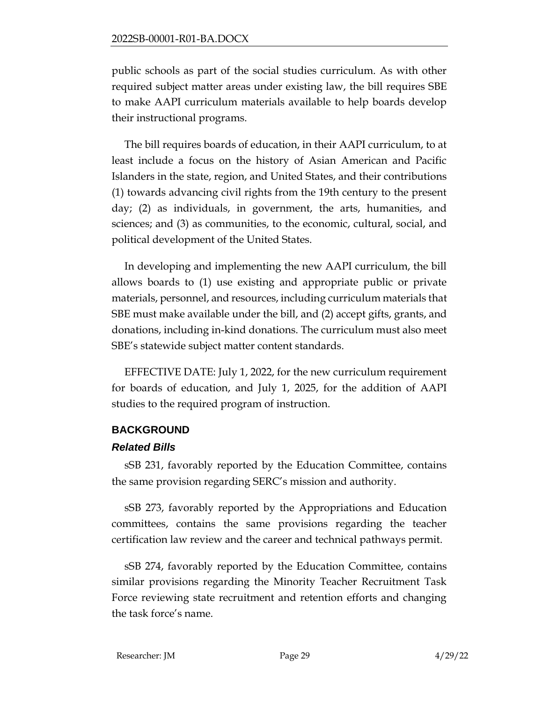public schools as part of the social studies curriculum. As with other required subject matter areas under existing law, the bill requires SBE to make AAPI curriculum materials available to help boards develop their instructional programs.

The bill requires boards of education, in their AAPI curriculum, to at least include a focus on the history of Asian American and Pacific Islanders in the state, region, and United States, and their contributions (1) towards advancing civil rights from the 19th century to the present day; (2) as individuals, in government, the arts, humanities, and sciences; and (3) as communities, to the economic, cultural, social, and political development of the United States.

In developing and implementing the new AAPI curriculum, the bill allows boards to (1) use existing and appropriate public or private materials, personnel, and resources, including curriculum materials that SBE must make available under the bill, and (2) accept gifts, grants, and donations, including in-kind donations. The curriculum must also meet SBE's statewide subject matter content standards.

EFFECTIVE DATE: July 1, 2022, for the new curriculum requirement for boards of education, and July 1, 2025, for the addition of AAPI studies to the required program of instruction.

# <span id="page-28-0"></span>**BACKGROUND**

# *Related Bills*

sSB 231, favorably reported by the Education Committee, contains the same provision regarding SERC's mission and authority.

sSB 273, favorably reported by the Appropriations and Education committees, contains the same provisions regarding the teacher certification law review and the career and technical pathways permit.

sSB 274, favorably reported by the Education Committee, contains similar provisions regarding the Minority Teacher Recruitment Task Force reviewing state recruitment and retention efforts and changing the task force's name.